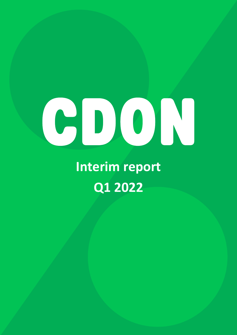# 

**Interim report Q1 2022**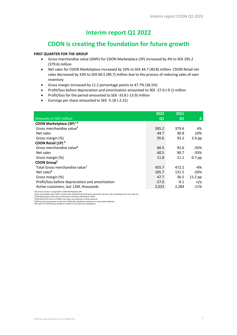## **Interim report Q1 2022**

# **CDON is creating the foundation for future growth**

#### **FIRST QUARTER FOR THE GROUP**

- Gross merchandise value (GMV) for CDON Marketplace (3P) increased by 4% to SEK 395.2 (379.6) million
- Net sales for CDON Marketplace increased by 10% to SEK 44.7 (40.8) million. CDON Retail net sales decreased by 33% to SEK 60.5 (90.7) million due to the process of reducing sales of own inventory
- Gross margin increased by 11.2 percentage points to 47.7% (36.5%)
- Profit/loss before depreciation and amortization amounted to SEK -27.0 (-9.1) million
- Profit/loss for the period amounted to SEK -33.8 (-13.9) million
- Earnings per share amounted to SEK -5.18 (-2.31)

|                                                  | 2022           | 2021   |           |
|--------------------------------------------------|----------------|--------|-----------|
| Amounts in SEK million                           | Q <sub>1</sub> | Q1     | Δ         |
| CDON Marketplace (3P) <sup>1,3</sup>             |                |        |           |
| Gross merchandise value <sup>2</sup>             | 395.2          | 379.6  | 4%        |
| Net sales                                        | 44.7           | 40.8   | 10%       |
| Gross margin (%)                                 | 95.6           | 93.2   | $2.4$ pp  |
| CDON Retail (1P) <sup>4</sup>                    |                |        |           |
| Gross merchandise value <sup>2</sup>             | 60.5           | 92.6   | -35%      |
| Net sales                                        | 60.5           | 90.7   | $-33%$    |
| Gross margin (%)                                 | 11.8           | 11.1   | $0.7$ pp  |
| CDON Group <sup>5</sup>                          |                |        |           |
| Total Gross merchandise value <sup>2</sup>       | 455.7          | 472.2  | $-4%$     |
| Net sales <sup>6</sup>                           | 105.7          | 131.5  | $-20%$    |
| Gross margin (%)                                 | 47.7           | 36.5   | $11.2$ pp |
| Profit/loss before depreciation and amortization | $-27.0$        | $-9.1$ | n/a       |
| Active customers, last 12M, thousands            | 2,023          | 2,284  | $-11%$    |

<sup>1</sup> All service income is recognized in CDON Marketplace (3P)<br><sup>2</sup> Gross merchandise value refers to total sales of goods from third-party merchants and own sales excluding returns and sales tax<br><sup>3</sup> CDON Marketplace (3P) r

<sup>5</sup> CDON Group encompasses results from CDON AB, subsidiaries and shares in associated companies<br><sup>6</sup>Net sales for CDON Group includes 0.5 million in net sales from subsidiaries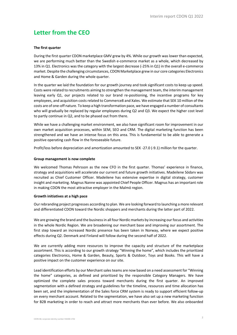## **Letter from the CEO**

#### **The first quarter**

During the first quarter CDON marketplace GMV grew by 4%. While our growth was lower than expected, we are performing much better than the Swedish e-commerce market as a whole, which decreased by 13% in Q1. Electronics was the category with the largest decrease (-25% in Q1) in the overall e-commerce market. Despite the challenging circumstances, CDON Marketplace grew in our core categories Electronics and Home & Garden during the whole quarter.

In the quarter we laid the foundation for our growth journey and took significant costs to keep up speed. Costs were related to recruitments aiming to strengthen the management team, the interim management leaving early Q1, our projects related to our brand re-positioning, the incentive programs for key employees, and acquisition costs related to Commerce8 and Xales. We estimate that SEK 10 million of the costs are of one-off nature. To keep a high transformation pace, we have engaged a number of consultants who will gradually be replaced by regular employees during Q2 and Q3. We expect the higher cost level to partly continue in Q2, and to be phased out from there.

While we have a challenging market environment, we also have significant room for improvement in our own market acquisition processes, within SEM, SEO and CRM. The digital marketing function has been strengthened and we have an intense focus on this area. This is fundamental to be able to generate a positive operating cash flow in the foreseeable future.

Profit/loss before depreciation and amortization amounted to SEK -27.0 (-9.1) million for the quarter.

#### **Group management is now complete**

We welcomed Thomas Pehrsson as the new CFO in the first quarter. Thomas' experience in finance, strategy and acquisitions will accelerate our current and future growth initiatives. Madeilene Södarv was recruited as Chief Customer Officer. Madeilene has extensive expertise in digital strategy, customer insight and marketing. Magnus Nanne was appointed Chief People Officer. Magnus has an important role in making CDON the most attractive employer in the Malmö region.

#### **Growth initiatives at a high pace**

Our rebranding project progresses according to plan. We are looking forward to launching a more relevant and differentiated CDON toward the Nordic shoppers and merchants during the latter part of 2022.

We are growing the brand and the business in all four Nordic markets by increasing our focus and activities in the whole Nordic Region. We are broadening our merchant base and improving our assortment. The first step toward an increased Nordic presence has been taken in Norway, where we expect positive effects during Q2. Denmark and Finland will follow during the second half of 2022.

We are currently adding more resources to improve the capacity and structure of the marketplace assortment. This is according to our growth strategy "Winning the home", which includes the prioritized categories Electronics, Home & Garden, Beauty, Sports & Outdoor, Toys and Books. This will have a positive impact on the customer experience on our site.

Lead identification efforts by our Merchant sales teams are now based on a need assessment for "Winning the home" categories, as defined and prioritized by the responsible Category Managers. We have optimized the complete sales process toward merchants during the first quarter. An improved segmentation with a defined strategy and guidelines for the timeline, resources and time allocation has been set, and the implementation of the Sales force CRM system is ready to support efficient follow-up on every merchant account. Related to the segmentation, we have also set up a new marketing function for B2B marketing in order to reach and attract more merchants than ever before. We also onboarded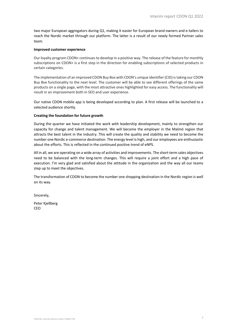two major European aggregators during Q1, making it easier for European brand owners and e-tailers to reach the Nordic market through our platform. The latter is a result of our newly formed Partner sales team.

#### **Improved customer experience**

Our loyalty program CDON+ continues to develop in a positive way. The release of the feature for monthly subscriptions on CDON+ is a first step in the direction for enabling subscriptions of selected products in certain categories.

The implementation of an improved CDON Buy Box with CDON's unique identifier (CID) is taking our CDON Buy Box functionality to the next level. The customer will be able to see different offerings of the same products on a single page, with the most attractive ones highlighted for easy access. The functionality will result in an improvement both in SEO and user experience.

Our native CDON mobile app is being developed according to plan. A first release will be launched to a selected audience shortly.

#### **Creating the foundation for future growth**

During the quarter we have initiated the work with leadership development, mainly to strengthen our capacity for change and talent management. We will become the employer in the Malmö region that attracts the best talent in the industry. This will create the quality and stability we need to become the number one Nordic e-commerce destination. The energy level is high, and our employees are enthusiastic about the efforts. This is reflected in the continued positive trend of eNPS.

All in all, we are operating on a wide array of activities and improvements. The short-term sales objectives need to be balanced with the long-term changes. This will require a joint effort and a high pace of execution. I'm very glad and satisfied about the attitude in the organization and the way all our teams step up to meet the objectives.

The transformation of CDON to become the number one shopping destination in the Nordic region is well on its way.

Sincerely,

Peter Kjellberg CEO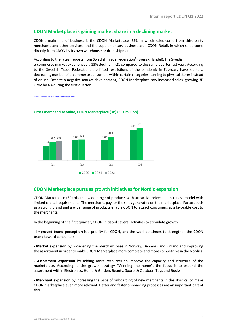#### **CDON Marketplace is gaining market share in a declining market**

CDON's main line of business is the CDON Marketplace (3P), in which sales come from third-party merchants and other services, and the supplementary business area CDON Retail, in which sales come directly from CDON by its own warehouse or drop shipment.

According to the latest reports from Swedish Trade Federation $1$  (Svensk Handel), the Swedish e-commerce market experienced a 13% decline in Q1 compared to the same quarter last year. According to the Swedish Trade Federation, the lifted restrictions of the pandemic in February have led to a decreasing number of e-commerce consumers within certain categories, turning to physical stores instead of online. Despite a negative market development, CDON Marketplace saw increased sales, growing 3P GMV by 4% during the first quarter.

1Svensk Handels E-handelsindikator Februari 2022



#### **Gross merchandise value, CDON Marketplace (3P) (SEK million)**

#### **CDON Marketplace pursues growth initiatives for Nordic expansion**

CDON Marketplace (3P) offers a wide range of products with attractive prices in a business model with limited capital requirements. The merchants pay for the sales generated on the marketplace. Factors such as a strong brand and a wide range of products enable CDON to attract consumers at a favorable cost to the merchants.

In the beginning of the first quarter, CDON initiated several activities to stimulate growth:

- **Improved brand perception** is a priority for CDON, and the work continues to strengthen the CDON brand toward consumers.

- **Market expansion** by broadening the merchant base in Norway, Denmark and Finland and improving the assortment in order to make CDON Marketplace more complete and more competitive in the Nordics.

- **Assortment expansion** by adding more resources to improve the capacity and structure of the marketplace. According to the growth strategy "Winning the home", the focus is to expand the assortment within Electronics, Home & Garden, Beauty, Sports & Outdoor, Toys and Books.

- **Merchant expansion** by increasing the pace of onboarding of new merchants in the Nordics, to make CDON marketplace even more relevant. Better and faster onboarding processes are an important part of this.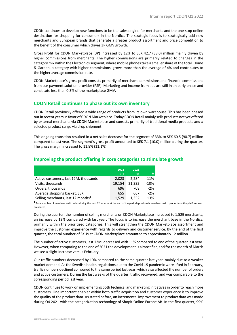CDON continues to develop new functions to be the sales engine for merchants and the one-stop online destination for shopping for consumers in the Nordics. The strategic focus is to strategically add new merchants and European brands that generate a greater product assortment and price competition to the benefit of the consumer which drives 3P GMV growth.

Gross Profit for CDON Marketplace (3P) increased by 12% to SEK 42.7 (38.0) million mainly driven by higher commissions from merchants. The higher commissions are primarily related to changes in the category mix within the Electronics segment, where mobile phones take a smaller share of the total. Home & Garden, a category with higher commissions, grows more than the average of 4% and contributes to the higher average commission rate.

CDON Marketplace's gross profit consists primarily of merchant commissions and financial commissions from our payment solution provider (PSP). Marketing and income from ads are still in an early phase and constitute less than 0.3% of the marketplace GMV.

## **CDON Retail continues to phase out its own inventory**

CDON Retail previously offered a wide range of products from its own warehouse. This has been phased out in recent years in favor of CDON Marketplace. Today CDON Retail mainly sells products not yet offered by external merchants via CDON Marketplace and consists primarily of traditional media products and a selected product range via drop shipment.

This ongoing transition resulted in a net sales decrease for the segment of 33% to SEK 60.5 (90.7) million compared to last year. The segment's gross profit amounted to SEK 7.1 (10.0) million during the quarter. The gross margin increased to 11.8% (11.1%)

|  |                                       |  | 2022       | 2021         |  |
|--|---------------------------------------|--|------------|--------------|--|
|  |                                       |  | $\Omega$ 1 | ດ1           |  |
|  | Active customers, last 12M, thousands |  | 2,023      | $2,284$ -11% |  |

Visits, thousands 19,154 21,332 -10% Orders, thousands 696 708 -2% Average shopping basket, SEK 655 667 -2% Selling merchants, last 12 months<sup>1</sup> 1,529 1,352 13%

#### **Improving the product offering in core categories to stimulate growth**

**<sup>1</sup>** Total number of merchants with sales during the past 12 months at the end of the period (previously merchants with products on the platform was presented)

During the quarter, the number of selling merchants on CDON Marketplace increased to 1,529 merchants, an increase by 13% compared with last year. The focus is to increase the merchant base in the Nordics, primarily within the prioritized categories. This will strengthen the CDON Marketplace assortment and improve the customer experience with regards to delivery and customer service. By the end of the first quarter, the total number of SKUs at CDON Marketplace amounted to approximately 12 million.

The number of active customers, last 12M, decreased with 11% compared to end of the quarter last year. However, when comparing to the end of 2021 the development is almost flat, and for the month of March we see a slight increase versus February.

Our traffic numbers decreased by 10% compared to the same quarter last year, mainly due to a weaker market demand. As the Swedish health regulations due to the Covid-19 pandemic were lifted in February, traffic numbers declined compared to the same period last year, which also affected the number of orders and active customers. During the last weeks of the quarter, traffic recovered, and was comparable to the corresponding period last year.

CDON continues to work on implementing both technical and marketing initiatives in order to reach more customers. One important enabler within both traffic acquisition and customer experience is to improve the quality of the product data. As stated before, an incremental improvement to product data was made during Q4 2021 with the categorization technology of Shopit Online Europe AB. In the first quarter, 99%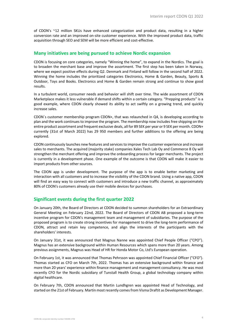of CDON's ~12 million SKUs have enhanced categorization and product data, resulting in a higher conversion rate and an improved on-site customer experience. With the improved product data, traffic acquisition through SEO and SEM will be more efficient and cost-effective.

#### **Many initiatives are being pursued to achieve Nordic expansion**

CDON is focusing on core categories, namely "Winning the home", to expand in the Nordics. The goal is to broaden the merchant base and improve the assortment. The first step has been taken in Norway, where we expect positive effects during Q2. Denmark and Finland will follow in the second half of 2022. Winning the home includes the prioritized categories Electronics, Home & Garden, Beauty, Sports & Outdoor, Toys and Books. Electronics and Home & Garden remain strong and continue to show good results.

In a turbulent world, consumer needs and behavior will shift over time. The wide assortment of CDON Marketplace makes it less vulnerable if demand shifts within a certain category. "Prepping products" is a good example, where CDON clearly showed its ability to act swiftly on a growing trend, and quickly increase sales.

CDON´s customer membership program CDON+, that was relaunched in Q4, is developing according to plan and the work continues to improve the program. The membership now includes free shipping on the entire product assortment and frequent exclusive deals, all for 89 SEK per year or 9 SEK per month. CDON+ currently (31st of March 2022) has 29 950 members and further additions to the offering are being explored.

CDON continuously launches new features and services to improve the customer experience and increase sales to merchants. The acquired (majority stake) companies Xales Tech Lab Oy and Commerce 8 Oy will strengthen the merchant offering and improve the onboarding process for larger merchants. The project is currently in a development phase. One example of the outcome is that CDON will make it easier to import products from other sources.

The CDON app is under development. The purpose of the app is to enable better marketing and interaction with all customers and to increase the visibility of the CDON brand. Using a native app, CDON will find an easy way to connect with customers and introduce a new traffic channel, as approximately 80% of CDON's customers already use their mobile devices for purchases.

## **Significant events during the first quarter 2022**

On January 20th, the Board of Directors at CDON decided to summon shareholders for an Extraordinary General Meeting on February 22nd, 2022. The Board of Directors of CDON AB proposed a long-term incentive program for CDON's management team and management of subsidiaries. The purpose of the proposed program is to create strong incentives for management to drive the long-term performance of CDON, attract and retain key competence, and align the interests of the participants with the shareholders' interests.

On January 31st, it was announced that Magnus Nanne was appointed Chief People Officer ("CPO"). Magnus has an extensive background within Human Resources which spans more than 20 years. Among previous assignments, Magnus was Head of HR for Honda Motor Co, Ltd's European operation.

On February 1st, it was announced that Thomas Pehrsson was appointed Chief Financial Officer ("CFO"). Thomas started as CFO on March 7th, 2022. Thomas has an extensive background within finance and more than 20 years' experience within finance management and management consultancy. He was most recently CFO for the Nordic subsidiary of Tunstall Health Group, a global technology company within digital healthcare.

On February 7th, CDON announced that Martin Lundhgren was appointed Head of Technology, and started on the 21st of February. Martin most recently comes from Visma Draftit as Development Manager.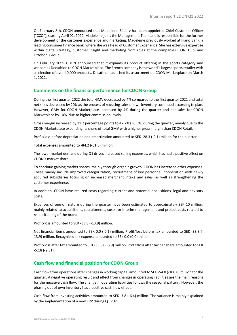On February 8th, CDON announced that Madeilene Södarv has been appointed Chief Customer Officer ("CCO"), starting April 02, 2022. Madeleine joins the Management Team and is responsible for the further development of the customer experience and marketing. Madeleine previously worked at Ikano Bank, a leading consumer finance bank, where she was Head of Customer Experience. She has extensive expertise within digital strategy, customer insight and marketing from roles at the companies E.ON, Duni and Ottoboni Group.

On February 10th, CDON announced that it expands its product offering in the sports category and welcomes Decathlon to CDON Marketplace. The French company is the world's largest sports retailer with a selection of over 40,000 products. Decathlon launched its assortment on CDON Marketplace on March 1, 2022.

#### **Comments on the financial performance for CDON Group**

During the first quarter 2022 the total GMV decreased by 4% compared to the first quarter 2021 and total net sales decreased by 20% as the process of reducing sales of own inventory continued according to plan. However, GMV for CDON Marketplace increased by 4% during the quarter and net sales for CDON Marketplace by 10%, due to higher commission levels.

Gross margin increased by 11.2 percentage points to 47.7% (36.5%) during the quarter, mainly due to the CDON Marketplace expanding its share of total GMV with a higher gross margin than CDON Retail.

Profit/loss before depreciation and amortization amounted to SEK -28.3 (-9.1) million for the quarter.

Total expenses amounted to -84.2 (-61.8) million.

The lower market demand during Q1 drives increased selling expenses, which has had a positive effect on CDON's market share.

To continue gaining market shares, mainly through organic growth, CDON has increased other expenses. These mainly include improved categorization, recruitment of key personnel, cooperation with newly acquired subsidiaries focusing on increased merchant intake and sales, as well as strengthening the customer experience.

In addition, CDON have realized costs regarding current and potential acquisitions, legal and advisory costs.

Expenses of one-off nature during the quarter have been estimated to approximately SEK 10 million, mainly related to acquisitions, recruitments, costs for interim management and project costs related to re-positioning of the brand.

Profit/loss amounted to SEK -33.8 (-13.9) million.

Net financial items amounted to SEK 0.0 (-0.1) million. Profit/loss before tax amounted to SEK -33.8 (- 13.9) million. Recognized tax expense amounted to SEK 0.0 (0.0) million.

Profit/loss after tax amounted to SEK -33.8 (-13.9) million. Profit/loss after tax per share amounted to SEK -5.18 (-2.31).

#### **Cash flow and financial position for CDON Group**

Cash flow from operations after changes in working capital amounted to SEK -54.0 (-100.8) million for the quarter. A negative operating result and effect from changes in operating liabilities are the main reasons for the negative cash flow. The change in operating liabilities follows the seasonal pattern. However, the phasing out of own inventory has a positive cash flow effect.

Cash flow from investing activities amounted to SEK -3.8 (-6.4) million. The variance is mainly explained by the implementation of a new ERP during Q1 2021.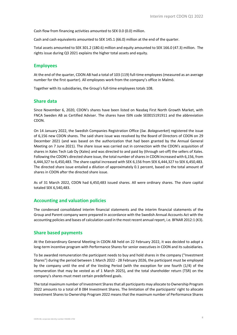Cash flow from financing activities amounted to SEK 0.0 (0.0) million.

Cash and cash equivalents amounted to SEK 145.1 (66.0) million at the end of the quarter.

Total assets amounted to SEK 301.2 (180.6) million and equity amounted to SEK 166.0 (47.3) million. The rights issue during Q3 2021 explains the higher total assets and equity.

#### **Employees**

At the end of the quarter, CDON AB had a total of 103 (119) full-time employees (measured as an average number for the first quarter). All employees work from the company's office in Malmö.

Together with its subsidiaries, the Group's full-time employees totals 108.

#### **Share data**

Since November 6, 2020, CDON's shares have been listed on Nasdaq First North Growth Market, with FNCA Sweden AB as Certified Adviser. The shares have ISIN code SE0015191911 and the abbreviation CDON.

On 14 January 2022, the Swedish Companies Registration Office (*Sw. Bolagsverket*) registered the issue of 6,156 new CDON shares. The said share issue was resolved by the Board of Directors of CDON on 29 December 2021 (and was based on the authorization that had been granted by the Annual General Meeting on 7 June 2021). The share issue was carried out in connection with the CDON's acquisition of shares in Xales Tech Lab Oy (Xales) and was directed to and paid by (through set-off) the sellers of Xales. Following the CDON's directed share issue, the total number of shares in CDON increased with 6,156, from 6,444,327 to 6,450,483. The share capital increased with SEK 6,156 from SEK 6,444,327 to SEK 6,450,483. The directed share issue entailed a dilution of approximately 0.1 percent, based on the total amount of shares in CDON after the directed share issue.

As of 31 March 2022, CDON had 6,450,483 issued shares. All were ordinary shares. The share capital totaled SEK 6,540,483.

#### **Accounting and valuation policies**

The condensed consolidated interim financial statements and the interim financial statements of the Group and Parent company were prepared in accordance with the Swedish Annual Accounts Act with the accounting policies and bases of calculation used in the most recent annual report, i.e. BFNAR 2012:1 (K3).

#### **Share based payments**

At the Extraordinary General Meeting in CDON AB held on 22 February 2022, it was decided to adopt a long-term incentive program with Performance Shares for senior executives in CDON and its subsidiaries.

To be awarded remuneration the participant needs to buy and hold shares in the company ("Investment Shares") during the period between 1 March 2022 - 28 February 2026, the participant must be employed by the company until the end of the Vesting Period (with the exception for one fourth (1/4) of the remuneration that may be vested as of 1 March 2025), and the total shareholder return (TSR) on the company's shares must meet certain predefined goals.

The total maximum number of Investment Shares that all participants may allocate to Ownership Program 2022 amounts to a total of 8 084 Investment Shares. The limitation of the participants' right to allocate Investment Shares to Ownership Program 2022 means that the maximum number of Performance Shares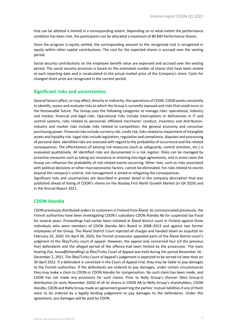that can be allotted is limited in a corresponding extent. Depending on to what extent the performance condition has been met, the participants can be allocated a maximum of 80 840 Performance Shares.

Since the program is equity settled, the corresponding amount to the recognized cost is recognized in equity within other capital contributions. The cost for the expected shares is accrued over the vesting period.

Social security contributions on the employee benefit value are expensed and accrued over the vesting period. The social security provision is based on the estimated number of shares that have been vested at each reporting date and is recalculated to the actual market price of the Company's share. Costs for changed share price are recognized in the current period.

#### **Significant risks and uncertainties**

Several factors affect, or may affect, directly or indirectly, the operations of CDON. CDON works constantly to identify, assess and evaluate risks to which the Group is currently exposed and risks that could occur in the foreseeable future. The Group uses the following categories to manage risks: operational, industry and market, financial and legal risks. Operational risks include interruptions or deficiencies in IT and control systems, risks related to personnel, affiliated merchants' conduct, inventory and distribution. Industry and market risks include risks related to competition, the general economy and consumer purchasing power. Financial risks include currency risk, credit risk, risksrelated to impairment of intangible assets and liquidity risk. Legal risks include legislation, regulation and compliance, disputes and processing of personal data. Identified risks are assessed with regard to the probability of occurrence and the related consequences. The effectiveness of existing risk measures (such as safeguards, control activities, etc.) is evaluated qualitatively. All identified risks are documented in a risk register. Risks can be managed by proactive measures such as taking out insurance or entering into legal agreements, and in some cases the Group can influence the probability of risk-related events occurring. Other risks, such as risks associated with political decisions or other macroeconomic factors, cannot be eliminated. For risks related to events beyond the company's control, risk management is aimed at mitigating the consequences.

Significant risks and uncertainties are described in greater detail in the company description that was published ahead of listing of CDON's shares on the Nasdaq First North Growth Market (in Q4 2020) and in the Annual Report 2021.

#### **CDON Alandia**

CDON previously distributed orders to customers in Finland from Åland. As communicated previously, the Finnish authorities have been investigating CDON's subsidiary CDON Alandia Ab for suspected tax fraud for several years. Proceedings had earlier been initiated at Åland district court in Finland against three individuals who were members of CDON Alandia Ab's Board in 2008–2013 and against two former employees of the Group. The Åland District Court rejected all charges and handed down an acquittal on February 25, 2020. On April 30, 2020, the Finnish prosecutor appealed parts of the Åland district court's judgment to the Åbo/Turku court of appeal. However, the appeal only concerned four (of the previous five) defendants and the alleged period of the offence had been limited by the prosecutor. The main hearing *(Sw. huvudförhandling*) at Åbo/Turku Court of Appeal was held during the period November 16 - December 2, 2021. The Åbo/Turku Court of Appeal's judgement is expected to be served no later than on 30 April 2022. If a defendant is convicted in the Court of Appeal trial, they may be liable to pay damages to the Finnish authorities. If the defendants are ordered to pay damages, under certain circumstances they may make a claim to CDON or CDON Alandia for compensation. No such claim has been made, and CDON has not made any provisions for such claims. Prior to Nelly Group's (former Qliro Group's) distribution (in early November 2020) of all its shares in CDON AB to Nelly Group's shareholders, CDON Alandia, CDON and Nelly Group made an agreement governing the parties' mutual liabilities if any of them were to be ordered by a legally binding judgement to pay damages to the defendants. Under this agreement, any damages will be paid by CDON.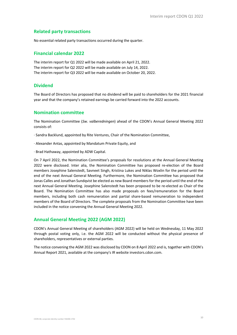#### **Related party transactions**

No essential related party transactions occurred during the quarter.

#### **Financial calendar 2022**

The interim report for Q1 2022 will be made available on April 21, 2022. The interim report for Q2 2022 will be made available on July 14, 2022. The interim report for Q3 2022 will be made available on October 20, 2022.

## **Dividend**

The Board of Directors has proposed that no dividend will be paid to shareholders for the 2021 financial year and that the company's retained earnings be carried forward into the 2022 accounts.

#### **Nomination committee**

The Nomination Committee (*Sw. valberedningen*) ahead of the CDON's Annual General Meeting 2022 consists of:

· Sandra Backlund, appointed by Rite Ventures, Chair of the Nomination Committee,

- · Alexander Antas, appointed by Mandatum Private Equity, and
- · Brad Hathaway, appointed by ADW Capital.

On 7 April 2022, the Nomination Committee's proposals for resolutions at the Annual General Meeting 2022 were disclosed. Inter alia, the Nomination Committee has proposed re-election of the Board members Josephine Salenstedt, Savneet Singh, Kristina Lukes and Niklas Woxlin for the period until the end of the next Annual General Meeting. Furthermore, the Nomination Committee has proposed that Jonas Calles and Jonathan Sundqvist be elected as new Board members for the period until the end of the next Annual General Meeting. Josephine Salenstedt has been proposed to be re-elected as Chair of the Board. The Nomination Committee has also made proposals on fees/remuneration for the Board members, including both cash remuneration and partial share-based remuneration to independent members of the Board of Directors. The complete proposals from the Nomination Committee have been included in the notice convening the Annual General Meeting 2022.

#### **Annual General Meeting 2022 (AGM 2022)**

CDON's Annual General Meeting of shareholders (AGM 2022) will be held on Wednesday, 11 May 2022 through postal voting only, i.e. the AGM 2022 will be conducted without the physical presence of shareholders, representatives or external parties.

The notice convening the AGM 2022 was disclosed by CDON on 8 April 2022 and is, together with CDON's Annual Report 2021, available at the company's IR website investors.cdon.com.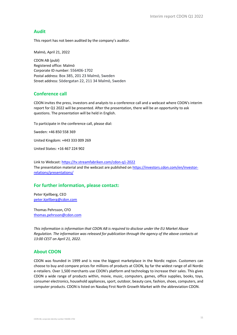#### **Audit**

This report has not been audited by the company's auditor.

Malmö, April 21, 2022

CDON AB (publ) Registered office: Malmö Corporate ID number: 556406-1702 Postal address: Box 385, 201 23 Malmö, Sweden Street address: Södergatan 22, 211 34 Malmö, Sweden

#### **Conference call**

CDON invites the press, investors and analysts to a conference call and a webcast where CDON's interim report for Q1 2022 will be presented. After the presentation, there will be an opportunity to ask questions. The presentation will be held in English.

To participate in the conference call, please dial:

Sweden: +46 850 558 369

United Kingdom: +443 333 009 269

United States: +16 467 224 902

Link to Webcast: https://tv.streamfabriken.com/cdon-q1-2022 The presentation material and the webcast are published on https://investors.cdon.com/en/investorrelations/presentations/

## **For further information, please contact:**

Peter Kjellberg, CEO peter.kjellberg@cdon.com

Thomas Pehrsson, CFO thomas.pehrsson@cdon.com

*This information is information that CDON AB is required to disclose under the EU Market Abuse Regulation. The information was released for publication through the agency of the above contacts at 13:00 CEST on April 21, 2022.* 

#### **About CDON**

CDON was founded in 1999 and is now the biggest marketplace in the Nordic region. Customers can choose to buy and compare prices for millions of products at CDON, by far the widest range of all Nordic e-retailers. Over 1,500 merchants use CDON's platform and technology to increase their sales. This gives CDON a wide range of products within, movie, music, computers, games, office supplies, books, toys, consumer electronics, household appliances, sport, outdoor, beauty care, fashion, shoes, computers, and computer products. CDON is listed on Nasdaq First North Growth Market with the abbreviation CDON.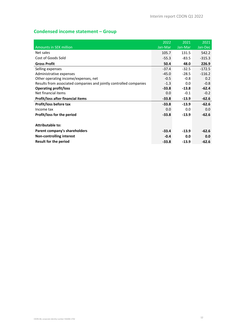# **Condensed income statement – Group**

|                                                                    | 2022    | 2021    | 2021     |
|--------------------------------------------------------------------|---------|---------|----------|
| <b>Amounts in SEK million</b>                                      | Jan-Mar | Jan-Mar | Jan-Dec  |
| Net sales                                                          | 105.7   | 131.5   | 542.2    |
| Cost of Goods Sold                                                 | $-55.3$ | $-83.5$ | $-315.3$ |
| <b>Gross Profit</b>                                                | 50.4    | 48.0    | 226.9    |
| Selling expenses                                                   | $-37.4$ | $-32.5$ | $-172.5$ |
| Administrative expenses                                            | $-45.0$ | $-28.5$ | $-116.2$ |
| Other operating income/expenses, net                               | $-0.5$  | $-0.8$  | 0.2      |
| Results from associated companies and jointly controlled companies | $-1.3$  | 0.0     | $-0.8$   |
| <b>Operating profit/loss</b>                                       | $-33.8$ | $-13.8$ | $-62.4$  |
| Net financial items                                                | 0.0     | $-0.1$  | $-0.2$   |
| Profit/loss after financial items                                  | $-33.8$ | $-13.9$ | $-62.6$  |
| Profit/loss before tax                                             | $-33.8$ | $-13.9$ | $-62.6$  |
| Income tax                                                         | 0.0     | 0.0     | 0.0      |
| Profit/loss for the period                                         | $-33.8$ | $-13.9$ | $-62.6$  |
|                                                                    |         |         |          |
| <b>Attributable to:</b>                                            |         |         |          |
| Parent company's shareholders                                      | $-33.4$ | $-13.9$ | $-62.6$  |
| Non-controlling interest                                           | $-0.4$  | 0.0     | 0.0      |
| Result for the period                                              | $-33.8$ | $-13.9$ | $-62.6$  |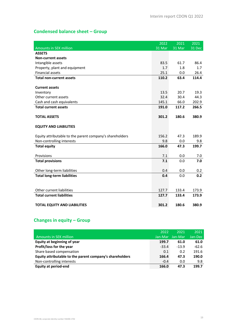# **Condensed balance sheet – Group**

|                                                          | 2022   | 2021   | 2021   |
|----------------------------------------------------------|--------|--------|--------|
| <b>Amounts in SEK million</b>                            | 31 Mar | 31 Mar | 31 Dec |
| <b>ASSETS</b>                                            |        |        |        |
| <b>Non-current assets</b>                                |        |        |        |
| Intangible assets                                        | 83.5   | 61.7   | 86.4   |
| Property, plant and equipment                            | 1.7    | 1.8    | 1.7    |
| <b>Financial assets</b>                                  | 25.1   | 0.0    | 26.4   |
| <b>Total non-current assets</b>                          | 110.2  | 63.4   | 114.4  |
|                                                          |        |        |        |
| <b>Current assets</b>                                    |        |        |        |
| Inventory                                                | 13.5   | 20.7   | 19.3   |
| Other current assets                                     | 32.4   | 30.4   | 44.3   |
| Cash and cash equivalents                                | 145.1  | 66.0   | 202.9  |
| <b>Total current assets</b>                              | 191.0  | 117.2  | 266.5  |
|                                                          |        |        |        |
| <b>TOTAL ASSETS</b>                                      | 301.2  | 180.6  | 380.9  |
| <b>EQUITY AND LIABILITIES</b>                            |        |        |        |
| Equity attributable to the parent company's shareholders | 156.2  | 47.3   | 189.9  |
| Non-controlling interests                                | 9.8    | 0.0    | 9.8    |
| <b>Total equity</b>                                      | 166.0  | 47.3   | 199.7  |
|                                                          |        |        |        |
| Provisions                                               | 7.1    | 0.0    | 7.0    |
| <b>Total provisions</b>                                  | 7.1    | 0.0    | 7.0    |
|                                                          |        |        |        |
| Other long-term liabilities                              | 0.4    | 0.0    | 0.2    |
| <b>Total long-term liabilities</b>                       | 0.4    | 0.0    | 0.2    |
|                                                          |        |        |        |
|                                                          |        |        |        |
| Other current liabilities                                | 127.7  | 133.4  | 173.9  |
| <b>Total current liabilities</b>                         | 127.7  | 133.4  | 173.9  |
|                                                          |        |        |        |
| <b>TOTAL EQUITY AND LIABILITIES</b>                      | 301.2  | 180.6  | 380.9  |

## **Changes in equity – Group**

|                                                          | 2022    | 2021     | 2021    |
|----------------------------------------------------------|---------|----------|---------|
| Amounts in SEK million                                   | Jan-Mar | Jan-Mari | Jan-Dec |
| Equity at beginning of year                              | 199.7   | 61.0     | 61.0    |
| Profit/loss for the year                                 | $-33.4$ | $-13.9$  | $-62.6$ |
| Share based compensation                                 | 0.1     | 0.2      | 191.6   |
| Equity attributable to the parent company's shareholders | 166.4   | 47.3     | 190.0   |
| Non-controlling interests                                | $-0.4$  | 0.0      | 9.8     |
| Equity at period-end                                     | 166.0   | 47.3     | 199.7   |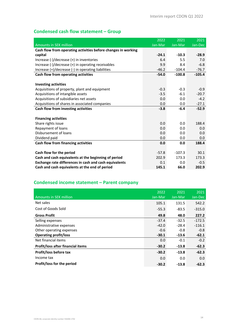# **Condensed cash flow statement – Group**

|                                                               | 2022    | 2021     | 2021     |
|---------------------------------------------------------------|---------|----------|----------|
| <b>Amounts in SEK million</b>                                 | Jan-Mar | Jan-Mar  | Jan-Dec  |
| Cash flow from operating activities before changes in working |         |          |          |
| capital                                                       | $-24.1$ | $-10.3$  | $-28.9$  |
| Increase (-)/decrease (+) in inventories                      | 6.4     | 5.5      | 7.0      |
| Increase (-)/decrease (+) in operating receivables            | 9.9     | 8.4      | $-6.8$   |
| Increase (+)/decrease (-) in operating liabilities            | $-46.2$ | $-104.4$ | $-76.7$  |
| Cash flow from operating activities                           | $-54.0$ | $-100.8$ | $-105.4$ |
|                                                               |         |          |          |
| <b>Investing activities</b>                                   |         |          |          |
| Acquisitions of property, plant and equipment                 | $-0.3$  | $-0.3$   | $-0.9$   |
| Acquisitions of intangible assets                             | $-3.5$  | $-6.1$   | $-20.7$  |
| Acquisitions of subsidiaries net assets                       | 0.0     | 0.0      | $-4.2$   |
| Acquisitions of shares in associated companies                | 0.0     | 0.0      | $-27.1$  |
| Cash flow from investing activities                           | $-3.8$  | $-6.4$   | $-52.9$  |
|                                                               |         |          |          |
| <b>Financing activities</b>                                   |         |          |          |
| Share rights issue                                            | 0.0     | 0.0      | 188.4    |
| Repayment of loans                                            | 0.0     | 0.0      | 0.0      |
| Disbursement of loans                                         | 0.0     | 0.0      | 0.0      |
| Dividend paid                                                 | 0.0     | 0.0      | 0.0      |
| Cash flow from financing activities                           | 0.0     | 0.0      | 188.4    |
|                                                               |         |          |          |
| Cash flow for the period                                      | $-57.8$ | $-107.3$ | 30.1     |
| Cash and cash equivalents at the beginning of period          | 202.9   | 173.3    | 173.3    |
| Exchange rate differences in cash and cash equivalents        | 0.1     | 0.0      | $-0.5$   |
| Cash and cash equivalents at the end of period                | 145.1   | 66.0     | 202.9    |

# **Condensed income statement – Parent company**

|                                          | 2022    | 2021    | 2021     |
|------------------------------------------|---------|---------|----------|
| <b>Amounts in SEK million</b>            | Jan-Mar | Jan-Mar | Jan-Dec  |
| Net sales                                | 105.1   | 131.5   | 542.2    |
| Cost of Goods Sold                       | $-55.3$ | $-83.5$ | $-315.0$ |
| <b>Gross Profit</b>                      | 49.8    | 48.0    | 227.2    |
| Selling expenses                         | $-37.4$ | $-32.5$ | $-172.5$ |
| Administrative expenses                  | $-42.0$ | $-28.4$ | $-116.1$ |
| Other operating expenses                 | $-0.6$  | $-0.8$  | $-0.8$   |
| <b>Operating profit/loss</b>             | $-30.1$ | $-13.6$ | $-62.1$  |
| Net financial items                      | 0.0     | $-0.1$  | $-0.2$   |
| <b>Profit/loss after financial items</b> | $-30.2$ | $-13.8$ | $-62.3$  |
| Profit/loss before tax                   | $-30.2$ | $-13.8$ | $-62.3$  |
| Income tax                               | 0.0     | 0.0     | 0.0      |
| Profit/loss for the period               | $-30.2$ | $-13.8$ | $-62.3$  |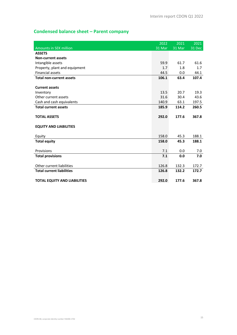# **Condensed balance sheet – Parent company**

|                                     | 2022   | 2021   | 2021   |
|-------------------------------------|--------|--------|--------|
| <b>Amounts in SEK million</b>       | 31 Mar | 31 Mar | 31 Dec |
| <b>ASSETS</b>                       |        |        |        |
| <b>Non-current assets</b>           |        |        |        |
| Intangible assets                   | 59.9   | 61.7   | 61.6   |
| Property, plant and equipment       | 1.7    | 1.8    | 1.7    |
| <b>Financial assets</b>             | 44.5   | 0.0    | 44.1   |
| <b>Total non-current assets</b>     | 106.1  | 63.4   | 107.4  |
|                                     |        |        |        |
| <b>Current assets</b>               |        |        |        |
| Inventory                           | 13.5   | 20.7   | 19.3   |
| Other current assets                | 31.6   | 30.4   | 43.6   |
| Cash and cash equivalents           | 140.9  | 63.1   | 197.5  |
| <b>Total current assets</b>         | 185.9  | 114.2  | 260.5  |
|                                     |        |        |        |
| <b>TOTAL ASSETS</b>                 | 292.0  | 177.6  | 367.8  |
|                                     |        |        |        |
| <b>EQUITY AND LIABILITIES</b>       |        |        |        |
| Equity                              | 158.0  | 45.3   | 188.1  |
| <b>Total equity</b>                 | 158.0  | 45.3   | 188.1  |
|                                     |        |        |        |
| Provisions                          | 7.1    | 0.0    | 7.0    |
| <b>Total provisions</b>             | 7.1    | 0.0    | 7.0    |
|                                     |        |        |        |
| Other current liabilities           | 126.8  | 132.3  | 172.7  |
| <b>Total current liabilities</b>    | 126.8  | 132.2  | 172.7  |
|                                     |        |        |        |
| <b>TOTAL EQUITY AND LIABILITIES</b> | 292.0  | 177.6  | 367.8  |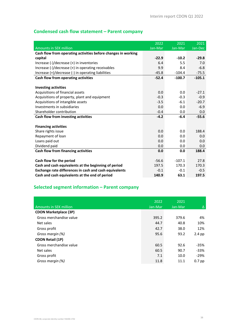# **Condensed cash flow statement – Parent company**

|                                                               | 2022    | 2021     | 2021     |
|---------------------------------------------------------------|---------|----------|----------|
| <b>Amounts in SEK million</b>                                 | Jan-Mar | Jan-Mar  | Jan-Dec  |
| Cash flow from operating activities before changes in working |         |          |          |
| capital                                                       | $-22.9$ | $-10.2$  | $-29.8$  |
| Increase (-)/decrease (+) in inventories                      | 6.4     | 5.5      | 7.0      |
| Increase (-)/decrease (+) in operating receivables            | 9.9     | 8.4      | $-6.8$   |
| Increase (+)/decrease (-) in operating liabilities            | $-45.8$ | $-104.4$ | $-75.5$  |
| Cash flow from operating activities                           | $-52.4$ | $-100.7$ | $-105.1$ |
|                                                               |         |          |          |
| <b>Investing activities</b>                                   |         |          |          |
| Acquisitions of financial assets                              | 0.0     | 0.0      | $-27.1$  |
| Acquisitions of property, plant and equipment                 | $-0.3$  | $-0.3$   | $-0.9$   |
| Acquisitions of intangible assets                             | $-3.5$  | $-6.1$   | $-20.7$  |
| Investments in subsidiaries                                   | 0.0     | 0.0      | $-6.9$   |
| Shareholder contribution                                      | $-0.4$  | 0.0      | 0.0      |
| Cash flow from investing activities                           | $-4.2$  | $-6.4$   | $-55.6$  |
|                                                               |         |          |          |
| <b>Financing activities</b>                                   |         |          |          |
| Share rights issue                                            | 0.0     | 0.0      | 188.4    |
| Repayment of loan                                             | 0.0     | 0.0      | 0.0      |
| Loans paid out                                                | 0.0     | 0.0      | 0.0      |
| Dividend paid                                                 | 0.0     | 0.0      | 0.0      |
| Cash flow from financing activities                           | 0.0     | 0.0      | 188.4    |
|                                                               |         |          |          |
| Cash flow for the period                                      | $-56.6$ | $-107.1$ | 27.8     |
| Cash and cash equivalents at the beginning of period          | 197.5   | 170.3    | 170.3    |
| Exchange rate differences in cash and cash equivalents        | $-0.1$  | $-0.1$   | $-0.5$   |
| Cash and cash equivalents at the end of period                | 140.9   | 63.1     | 197.5    |

# **Selected segment information – Parent company**

| <b>Amounts in SEK million</b> | 2022<br>Jan-Mar | 2021<br>Jan-Mar | Δ        |
|-------------------------------|-----------------|-----------------|----------|
| <b>CDON Marketplace (3P)</b>  |                 |                 |          |
| Gross merchandise value       | 395.2           | 379.6           | 4%       |
| Net sales                     | 44.7            | 40.8            | 10%      |
| Gross profit                  | 42.7            | 38.0            | 12%      |
| Gross margin (%)              | 95.6            | 93.2            | $2.4$ pp |
| <b>CDON Retail (1P)</b>       |                 |                 |          |
| Gross merchandise value       | 60.5            | 92.6            | $-35%$   |
| Net sales                     | 60.5            | 90.7            | $-33%$   |
| Gross profit                  | 7.1             | 10.0            | $-29%$   |
| Gross margin (%)              | 11.8            | 11.1            | $0.7$ pp |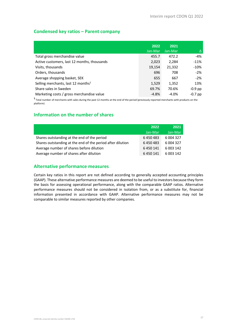## **Condensed key ratios – Parent company**

|                                                | 2022<br>Jan-Mar | 2021<br>Jan-Mar | Δ         |
|------------------------------------------------|-----------------|-----------------|-----------|
|                                                |                 |                 |           |
| Total gross merchandise value                  | 455.7           | 472.2           | $-4%$     |
| Active customers, last 12 months, thousands    | 2,023           | 2,284           | $-11%$    |
| Visits, thousands                              | 19,154          | 21,332          | $-10%$    |
| Orders, thousands                              | 696             | 708             | $-2%$     |
| Average shopping basket, SEK                   | 655             | 667             | $-2%$     |
| Selling merchants, last 12 months <sup>1</sup> | 1,529           | 1,352           | 13%       |
| Share sales in Sweden                          | 69.7%           | 70.6%           | $-0.9$ pp |
| Marketing costs / gross merchandise value      | $-4.8%$         | $-4.0%$         | $-0.7$ pp |

**<sup>1</sup>** Total number of merchants with sales during the past 12 months at the end of the period (previously reported merchants with products on the platform)

## **Information on the number of shares**

|                                                            | 2022      | 2021       |
|------------------------------------------------------------|-----------|------------|
|                                                            | Jan-Mar   | Jan-Mar    |
| Shares outstanding at the end of the period                | 6450483   | 6 004 327  |
| Shares outstanding at the end of the period after dilution | 6450483   | 6 004 327  |
| Average number of shares before dilution                   | 6 450 141 | 6 003 142  |
| Average number of shares after dilution                    | 6 450 141 | 6 0 03 142 |

#### **Alternative performance measures**

Certain key ratios in this report are not defined according to generally accepted accounting principles (GAAP). These alternative performance measures are deemed to be useful to investors because they form the basis for assessing operational performance, along with the comparable GAAP ratios. Alternative performance measures should not be considered in isolation from, or as a substitute for, financial information presented in accordance with GAAP. Alternative performance measures may not be comparable to similar measures reported by other companies.